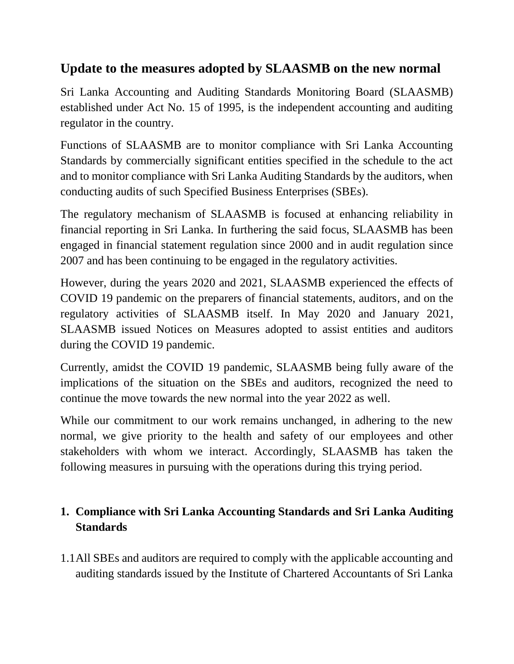# **Update to the measures adopted by SLAASMB on the new normal**

Sri Lanka Accounting and Auditing Standards Monitoring Board (SLAASMB) established under Act No. 15 of 1995, is the independent accounting and auditing regulator in the country.

Functions of SLAASMB are to monitor compliance with Sri Lanka Accounting Standards by commercially significant entities specified in the schedule to the act and to monitor compliance with Sri Lanka Auditing Standards by the auditors, when conducting audits of such Specified Business Enterprises (SBEs).

The regulatory mechanism of SLAASMB is focused at enhancing reliability in financial reporting in Sri Lanka. In furthering the said focus, SLAASMB has been engaged in financial statement regulation since 2000 and in audit regulation since 2007 and has been continuing to be engaged in the regulatory activities.

However, during the years 2020 and 2021, SLAASMB experienced the effects of COVID 19 pandemic on the preparers of financial statements, auditors, and on the regulatory activities of SLAASMB itself. In May 2020 and January 2021, SLAASMB issued Notices on Measures adopted to assist entities and auditors during the COVID 19 pandemic.

Currently, amidst the COVID 19 pandemic, SLAASMB being fully aware of the implications of the situation on the SBEs and auditors, recognized the need to continue the move towards the new normal into the year 2022 as well.

While our commitment to our work remains unchanged, in adhering to the new normal, we give priority to the health and safety of our employees and other stakeholders with whom we interact. Accordingly, SLAASMB has taken the following measures in pursuing with the operations during this trying period.

# **1. Compliance with Sri Lanka Accounting Standards and Sri Lanka Auditing Standards**

1.1All SBEs and auditors are required to comply with the applicable accounting and auditing standards issued by the Institute of Chartered Accountants of Sri Lanka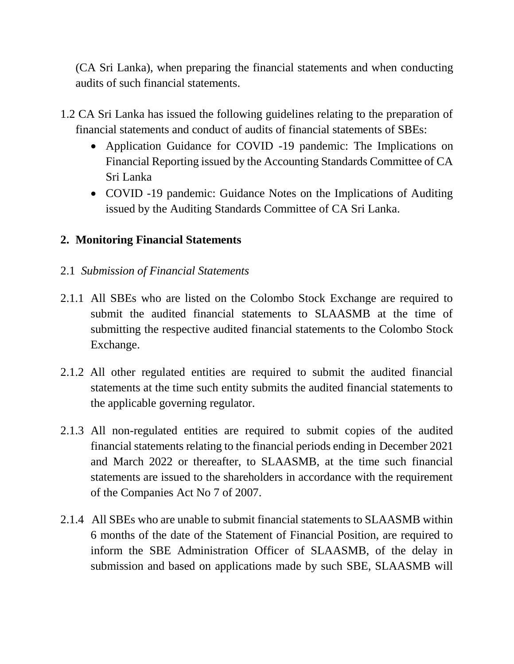(CA Sri Lanka), when preparing the financial statements and when conducting audits of such financial statements.

- 1.2 CA Sri Lanka has issued the following guidelines relating to the preparation of financial statements and conduct of audits of financial statements of SBEs:
	- Application Guidance for COVID -19 pandemic: The Implications on Financial Reporting issued by the Accounting Standards Committee of CA Sri Lanka
	- COVID -19 pandemic: Guidance Notes on the Implications of Auditing issued by the Auditing Standards Committee of CA Sri Lanka.

### **2. Monitoring Financial Statements**

#### 2.1 *Submission of Financial Statements*

- 2.1.1 All SBEs who are listed on the Colombo Stock Exchange are required to submit the audited financial statements to SLAASMB at the time of submitting the respective audited financial statements to the Colombo Stock Exchange.
- 2.1.2 All other regulated entities are required to submit the audited financial statements at the time such entity submits the audited financial statements to the applicable governing regulator.
- 2.1.3 All non-regulated entities are required to submit copies of the audited financial statements relating to the financial periods ending in December 2021 and March 2022 or thereafter, to SLAASMB, at the time such financial statements are issued to the shareholders in accordance with the requirement of the Companies Act No 7 of 2007.
- 2.1.4 All SBEs who are unable to submit financial statements to SLAASMB within 6 months of the date of the Statement of Financial Position, are required to inform the SBE Administration Officer of SLAASMB, of the delay in submission and based on applications made by such SBE, SLAASMB will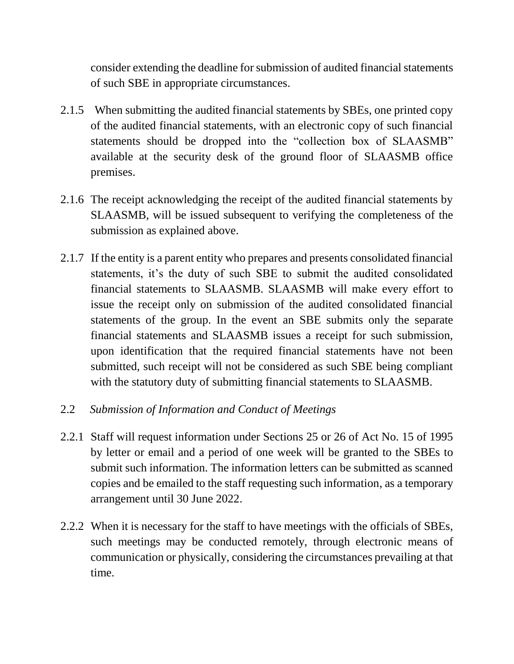consider extending the deadline for submission of audited financial statements of such SBE in appropriate circumstances.

- 2.1.5 When submitting the audited financial statements by SBEs, one printed copy of the audited financial statements, with an electronic copy of such financial statements should be dropped into the "collection box of SLAASMB" available at the security desk of the ground floor of SLAASMB office premises.
- 2.1.6 The receipt acknowledging the receipt of the audited financial statements by SLAASMB, will be issued subsequent to verifying the completeness of the submission as explained above.
- 2.1.7 If the entity is a parent entity who prepares and presents consolidated financial statements, it's the duty of such SBE to submit the audited consolidated financial statements to SLAASMB. SLAASMB will make every effort to issue the receipt only on submission of the audited consolidated financial statements of the group. In the event an SBE submits only the separate financial statements and SLAASMB issues a receipt for such submission, upon identification that the required financial statements have not been submitted, such receipt will not be considered as such SBE being compliant with the statutory duty of submitting financial statements to SLAASMB.
- 2.2 *Submission of Information and Conduct of Meetings*
- 2.2.1 Staff will request information under Sections 25 or 26 of Act No. 15 of 1995 by letter or email and a period of one week will be granted to the SBEs to submit such information. The information letters can be submitted as scanned copies and be emailed to the staff requesting such information, as a temporary arrangement until 30 June 2022.
- 2.2.2 When it is necessary for the staff to have meetings with the officials of SBEs, such meetings may be conducted remotely, through electronic means of communication or physically, considering the circumstances prevailing at that time.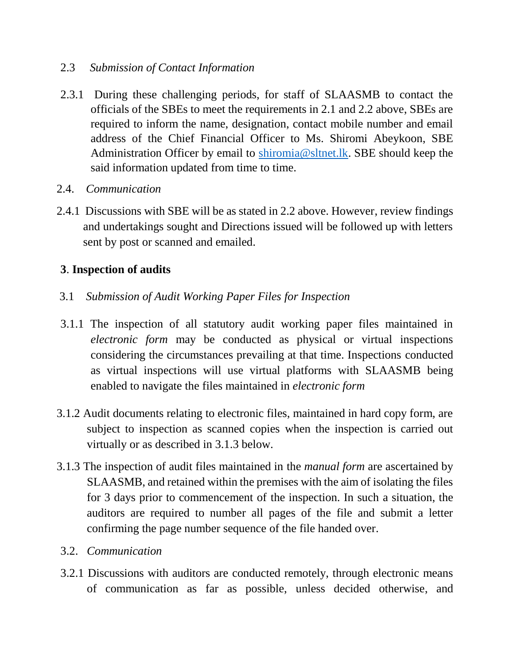#### 2.3 *Submission of Contact Information*

- 2.3.1 During these challenging periods, for staff of SLAASMB to contact the officials of the SBEs to meet the requirements in 2.1 and 2.2 above, SBEs are required to inform the name, designation, contact mobile number and email address of the Chief Financial Officer to Ms. Shiromi Abeykoon, SBE Administration Officer by email to [shiromia@sltnet.lk.](mailto:shiromia@sltnet.lk) SBE should keep the said information updated from time to time.
- 2.4. *Communication*
- 2.4.1 Discussions with SBE will be as stated in 2.2 above. However, review findings and undertakings sought and Directions issued will be followed up with letters sent by post or scanned and emailed.

### **3**. **Inspection of audits**

- 3.1 *Submission of Audit Working Paper Files for Inspection*
- 3.1.1 The inspection of all statutory audit working paper files maintained in *electronic form* may be conducted as physical or virtual inspections considering the circumstances prevailing at that time. Inspections conducted as virtual inspections will use virtual platforms with SLAASMB being enabled to navigate the files maintained in *electronic form*
- 3.1.2 Audit documents relating to electronic files, maintained in hard copy form, are subject to inspection as scanned copies when the inspection is carried out virtually or as described in 3.1.3 below.
- 3.1.3 The inspection of audit files maintained in the *manual form* are ascertained by SLAASMB, and retained within the premises with the aim of isolating the files for 3 days prior to commencement of the inspection. In such a situation, the auditors are required to number all pages of the file and submit a letter confirming the page number sequence of the file handed over.
- 3.2. *Communication*
- 3.2.1 Discussions with auditors are conducted remotely, through electronic means of communication as far as possible, unless decided otherwise, and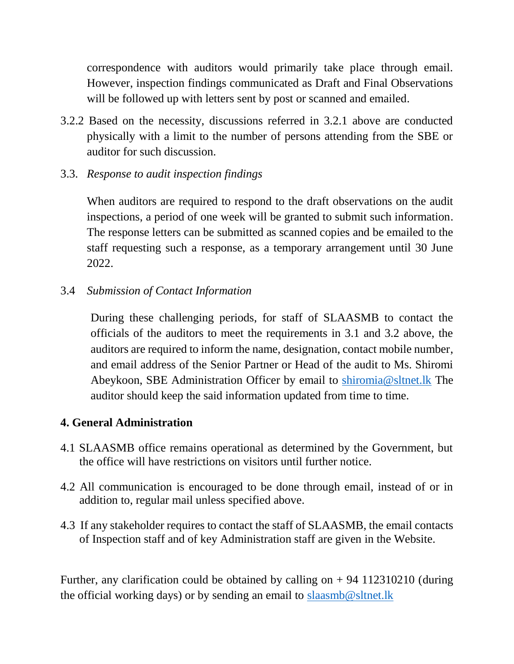correspondence with auditors would primarily take place through email. However, inspection findings communicated as Draft and Final Observations will be followed up with letters sent by post or scanned and emailed.

- 3.2.2 Based on the necessity, discussions referred in 3.2.1 above are conducted physically with a limit to the number of persons attending from the SBE or auditor for such discussion.
- 3.3. *Response to audit inspection findings*

When auditors are required to respond to the draft observations on the audit inspections, a period of one week will be granted to submit such information. The response letters can be submitted as scanned copies and be emailed to the staff requesting such a response, as a temporary arrangement until 30 June 2022.

3.4 *Submission of Contact Information*

During these challenging periods, for staff of SLAASMB to contact the officials of the auditors to meet the requirements in 3.1 and 3.2 above, the auditors are required to inform the name, designation, contact mobile number, and email address of the Senior Partner or Head of the audit to Ms. Shiromi Abeykoon, SBE Administration Officer by email to [shiromia@sltnet.lk](mailto:shiromia@sltnet.lk) The auditor should keep the said information updated from time to time.

## **4. General Administration**

- 4.1 SLAASMB office remains operational as determined by the Government, but the office will have restrictions on visitors until further notice.
- 4.2 All communication is encouraged to be done through email, instead of or in addition to, regular mail unless specified above.
- 4.3 If any stakeholder requires to contact the staff of SLAASMB, the email contacts of Inspection staff and of key Administration staff are given in the Website.

Further, any clarification could be obtained by calling on  $+ 94$  112310210 (during the official working days) or by sending an email to [slaasmb@sltnet.lk](mailto:slaasmb@sltnet.lk)